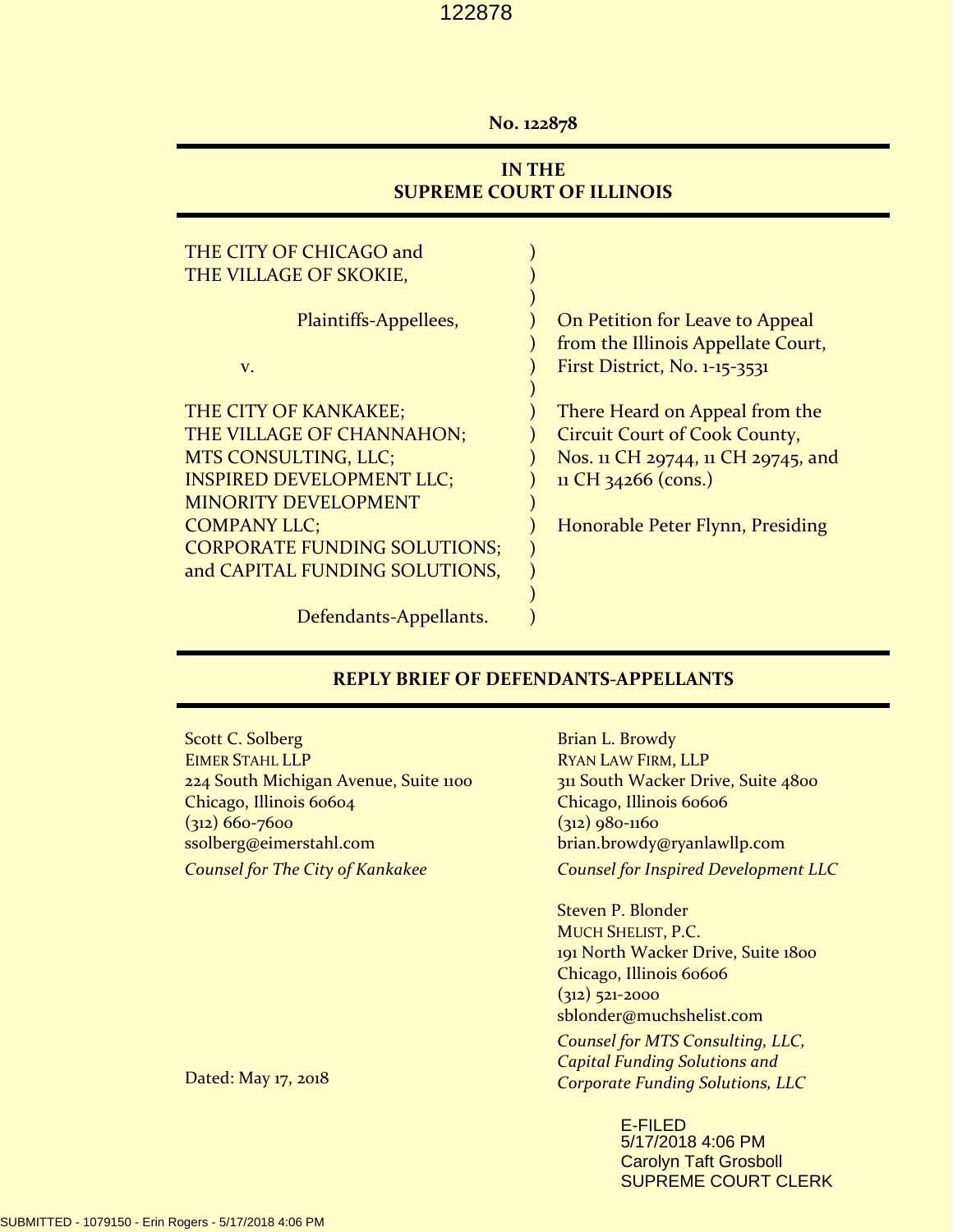#### **No. 122878**

## **IN THE SUPREME COURT OF ILLINOIS**

| THE CITY OF CHICAGO and             |                                      |
|-------------------------------------|--------------------------------------|
| THE VILLAGE OF SKOKIE,              |                                      |
|                                     |                                      |
| Plaintiffs-Appellees,               | On Petition for Leave to Appeal      |
|                                     | from the Illinois Appellate Court,   |
| V.                                  | First District, No. 1-15-3531        |
|                                     |                                      |
| THE CITY OF KANKAKEE;               | There Heard on Appeal from the       |
| THE VILLAGE OF CHANNAHON;           | <b>Circuit Court of Cook County,</b> |
| MTS CONSULTING, LLC;                | Nos. 11 CH 29744, 11 CH 29745, and   |
| <b>INSPIRED DEVELOPMENT LLC;</b>    | 11 CH 34266 (cons.)                  |
| <b>MINORITY DEVELOPMENT</b>         |                                      |
| <b>COMPANY LLC;</b>                 | Honorable Peter Flynn, Presiding     |
| <b>CORPORATE FUNDING SOLUTIONS;</b> |                                      |
| and CAPITAL FUNDING SOLUTIONS,      |                                      |
|                                     |                                      |
| Defendants-Appellants.              |                                      |

#### **REPLY BRIEF OF DEFENDANTS‐APPELLANTS**

Scott C. Solberg EIMER STAHL LLP 224 South Michigan Avenue, Suite 1100 Chicago, Illinois 60604 (312) 660‐7600 ssolberg@eimerstahl.com *Counsel for The City of Kankakee*

Brian L. Browdy RYAN LAW FIRM, LLP 311 South Wacker Drive, Suite 4800 Chicago, Illinois 60606 (312) 980‐1160 brian.browdy@ryanlawllp.com *Counsel for Inspired Development LLC*

Steven P. Blonder MUCH SHELIST, P.C. 191 North Wacker Drive, Suite 1800 Chicago, Illinois 60606 (312) 521‐2000 sblonder@muchshelist.com

*Counsel for MTS Consulting, LLC, Capital Funding Solutions and Corporate Funding Solutions, LLC*

> E-FILED 5/17/2018 4:06 PM Carolyn Taft Grosboll SUPREME COURT CLERK

Dated: May 17, 2018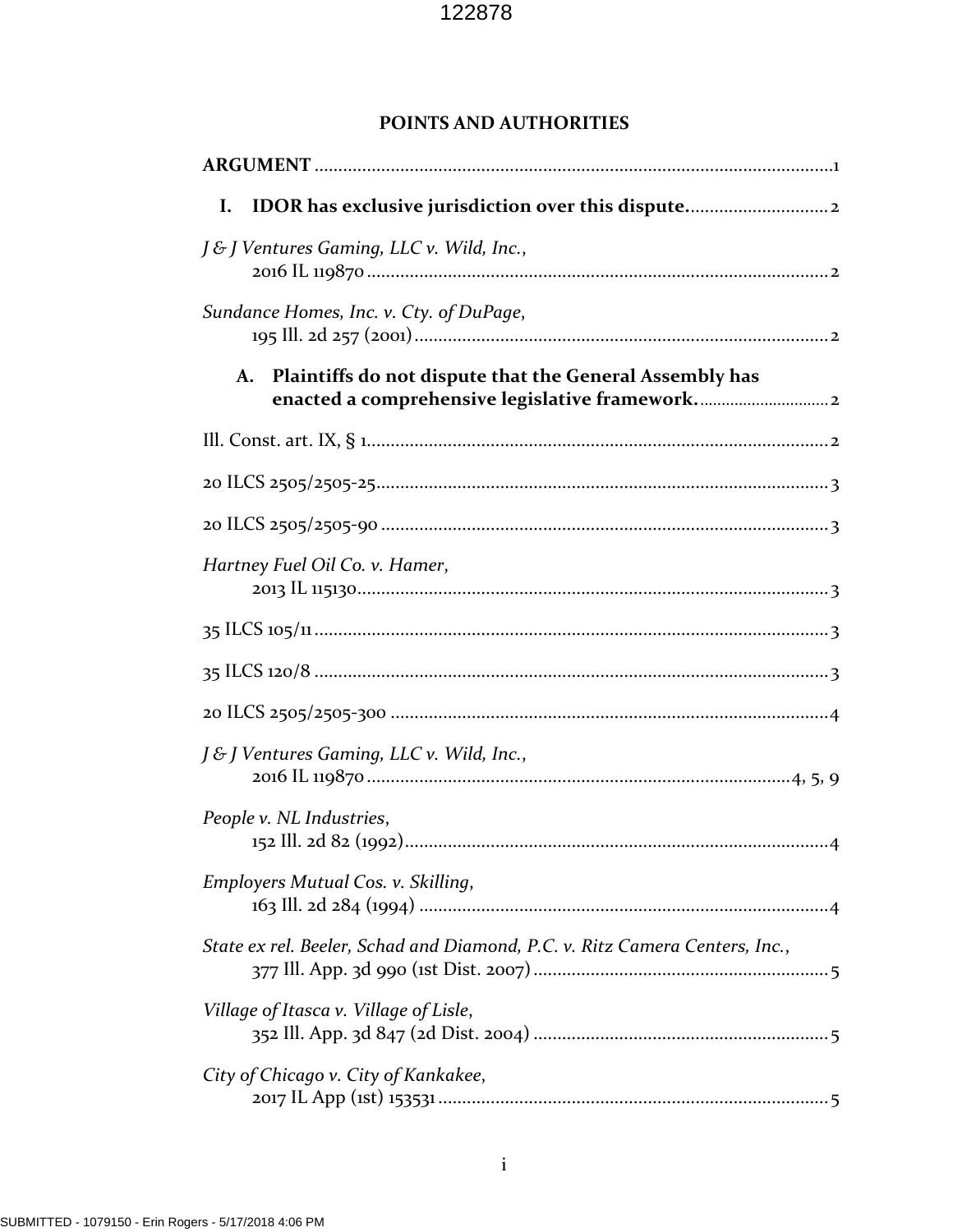## **POINTS AND AUTHORITIES**

| Ι.                                                                          |
|-----------------------------------------------------------------------------|
| J & J Ventures Gaming, LLC v. Wild, Inc.,                                   |
| Sundance Homes, Inc. v. Cty. of DuPage,                                     |
| Plaintiffs do not dispute that the General Assembly has<br>A.               |
|                                                                             |
|                                                                             |
|                                                                             |
| Hartney Fuel Oil Co. v. Hamer,                                              |
|                                                                             |
|                                                                             |
|                                                                             |
| J& J Ventures Gaming, LLC v. Wild, Inc.,                                    |
| People v. NL Industries,                                                    |
| Employers Mutual Cos. v. Skilling,                                          |
| State ex rel. Beeler, Schad and Diamond, P.C. v. Ritz Camera Centers, Inc., |
| Village of Itasca v. Village of Lisle,                                      |
| City of Chicago v. City of Kankakee,                                        |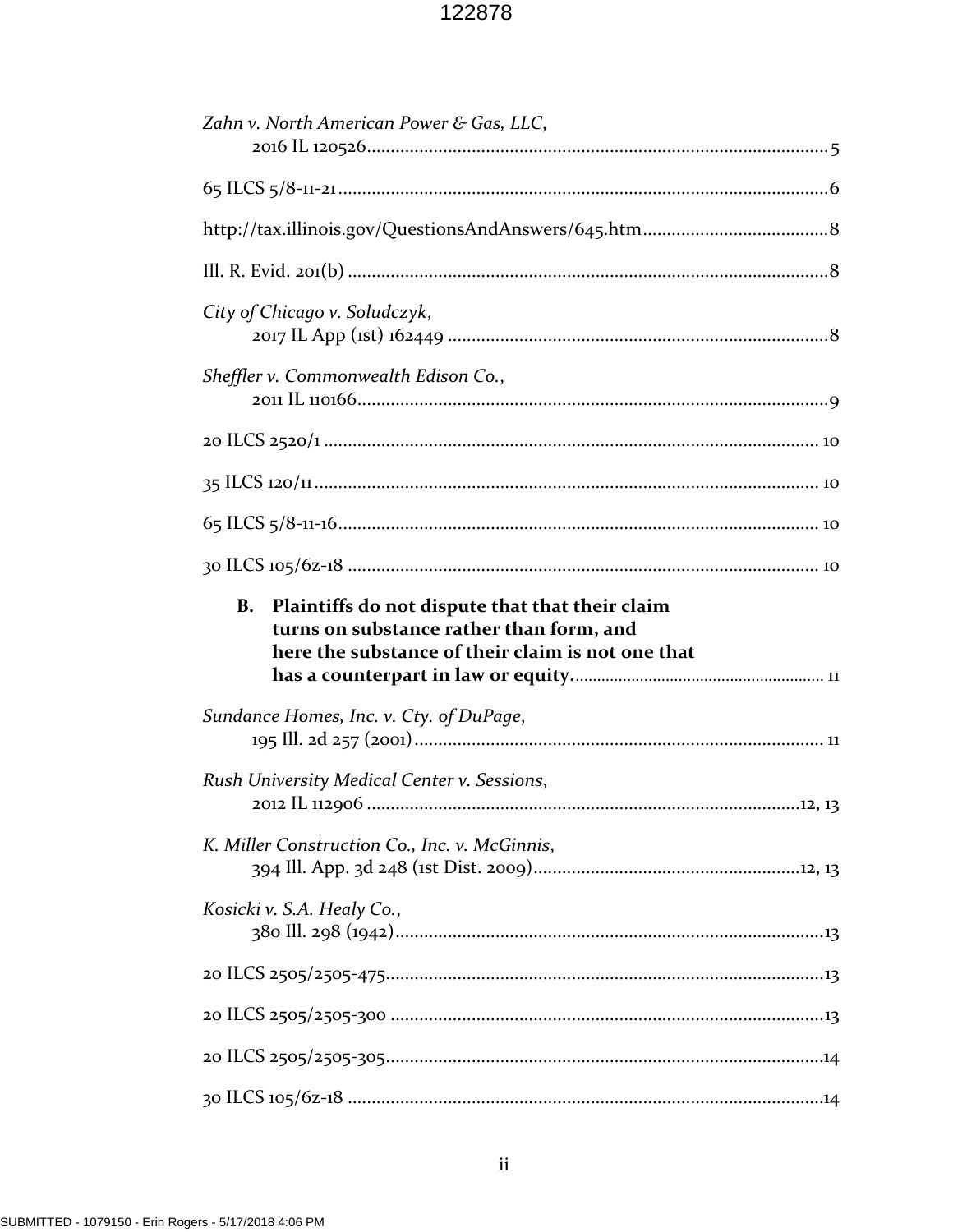| Zahn v. North American Power & Gas, LLC,                                                                                                                      |
|---------------------------------------------------------------------------------------------------------------------------------------------------------------|
|                                                                                                                                                               |
|                                                                                                                                                               |
|                                                                                                                                                               |
| City of Chicago v. Soludczyk,                                                                                                                                 |
| Sheffler v. Commonwealth Edison Co.,                                                                                                                          |
|                                                                                                                                                               |
|                                                                                                                                                               |
|                                                                                                                                                               |
|                                                                                                                                                               |
|                                                                                                                                                               |
| Plaintiffs do not dispute that that their claim<br><b>B.</b><br>turns on substance rather than form, and<br>here the substance of their claim is not one that |
| Sundance Homes, Inc. v. Cty. of DuPage,                                                                                                                       |
| Rush University Medical Center v. Sessions,                                                                                                                   |
| K. Miller Construction Co., Inc. v. McGinnis,                                                                                                                 |
| Kosicki v. S.A. Healy Co.,                                                                                                                                    |
|                                                                                                                                                               |
|                                                                                                                                                               |
|                                                                                                                                                               |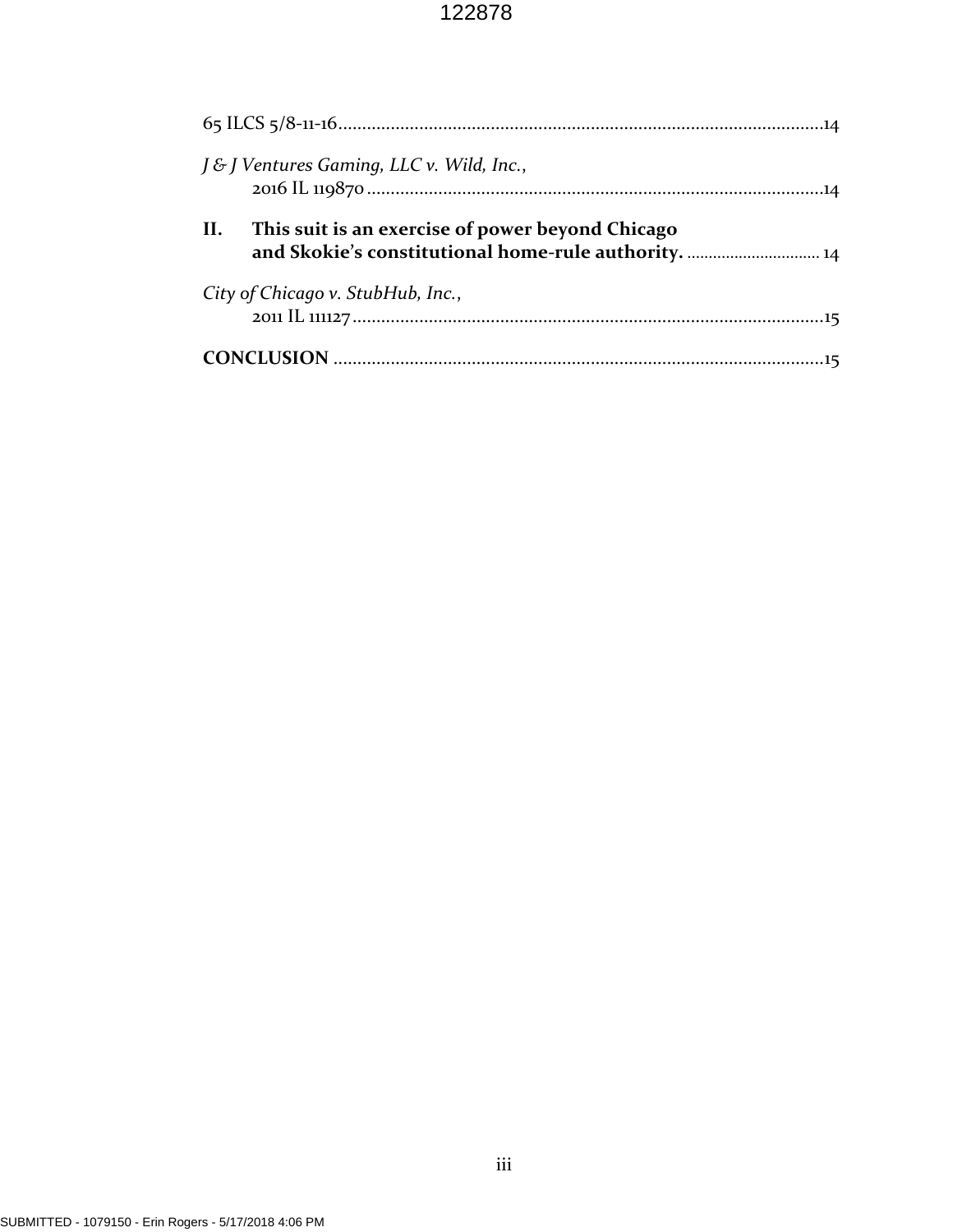| J & J Ventures Gaming, LLC v. Wild, Inc.,                                                                       |
|-----------------------------------------------------------------------------------------------------------------|
| This suit is an exercise of power beyond Chicago<br>II.<br>and Skokie's constitutional home-rule authority.  14 |
| City of Chicago v. StubHub, Inc.,                                                                               |
|                                                                                                                 |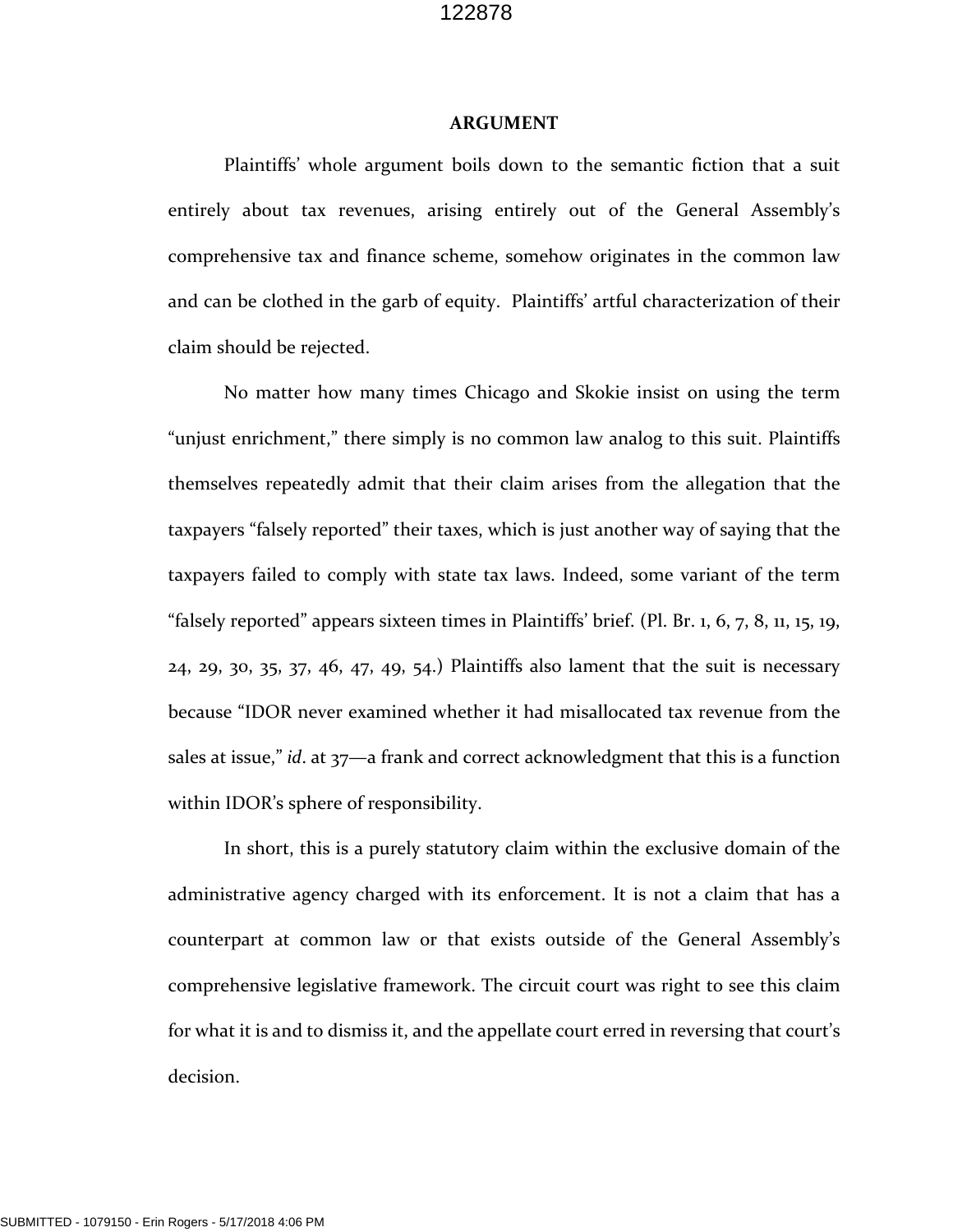#### **ARGUMENT**

Plaintiffs' whole argument boils down to the semantic fiction that a suit entirely about tax revenues, arising entirely out of the General Assembly's comprehensive tax and finance scheme, somehow originates in the common law and can be clothed in the garb of equity. Plaintiffs' artful characterization of their claim should be rejected.

No matter how many times Chicago and Skokie insist on using the term "unjust enrichment," there simply is no common law analog to this suit. Plaintiffs themselves repeatedly admit that their claim arises from the allegation that the taxpayers "falsely reported" their taxes, which is just another way of saying that the taxpayers failed to comply with state tax laws. Indeed, some variant of the term "falsely reported" appears sixteen times in Plaintiffs' brief. (Pl. Br. 1, 6, 7, 8, 11, 15, 19, 24, 29, 30, 35, 37, 46, 47, 49, 54.) Plaintiffs also lament that the suit is necessary because "IDOR never examined whether it had misallocated tax revenue from the sales at issue," *id*. at 37—a frank and correct acknowledgment that this is a function within IDOR's sphere of responsibility.

In short, this is a purely statutory claim within the exclusive domain of the administrative agency charged with its enforcement. It is not a claim that has a counterpart at common law or that exists outside of the General Assembly's comprehensive legislative framework. The circuit court was right to see this claim for what it is and to dismiss it, and the appellate court erred in reversing that court's decision.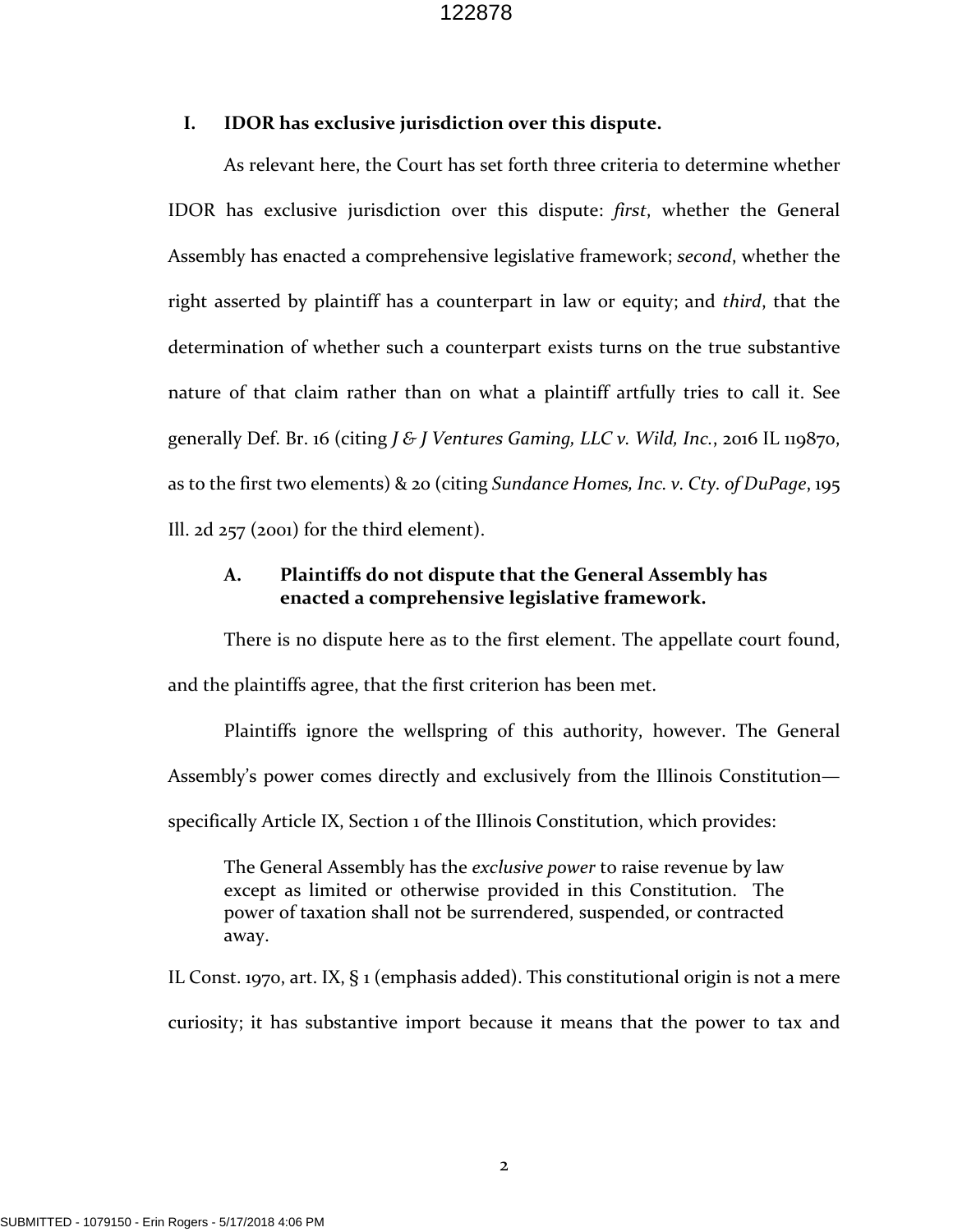#### **I. IDOR has exclusive jurisdiction over this dispute.**

As relevant here, the Court has set forth three criteria to determine whether IDOR has exclusive jurisdiction over this dispute: *first*, whether the General Assembly has enacted a comprehensive legislative framework; *second*, whether the right asserted by plaintiff has a counterpart in law or equity; and *third*, that the determination of whether such a counterpart exists turns on the true substantive nature of that claim rather than on what a plaintiff artfully tries to call it. See generally Def. Br. 16 (citing *J & J Ventures Gaming, LLC v. Wild, Inc.*, 2016 IL 119870, as to the first two elements) & 20 (citing *Sundance Homes, Inc. v. Cty. of DuPage*, 195 Ill. 2d 257 (2001) for the third element).

## **A. Plaintiffs do not dispute that the General Assembly has enacted a comprehensive legislative framework.**

There is no dispute here as to the first element. The appellate court found, and the plaintiffs agree, that the first criterion has been met.

Plaintiffs ignore the wellspring of this authority, however. The General Assembly's power comes directly and exclusively from the Illinois Constitution specifically Article IX, Section 1 of the Illinois Constitution, which provides:

The General Assembly has the *exclusive power* to raise revenue by law except as limited or otherwise provided in this Constitution. The power of taxation shall not be surrendered, suspended, or contracted away.

IL Const. 1970, art. IX, § 1 (emphasis added). This constitutional origin is not a mere curiosity; it has substantive import because it means that the power to tax and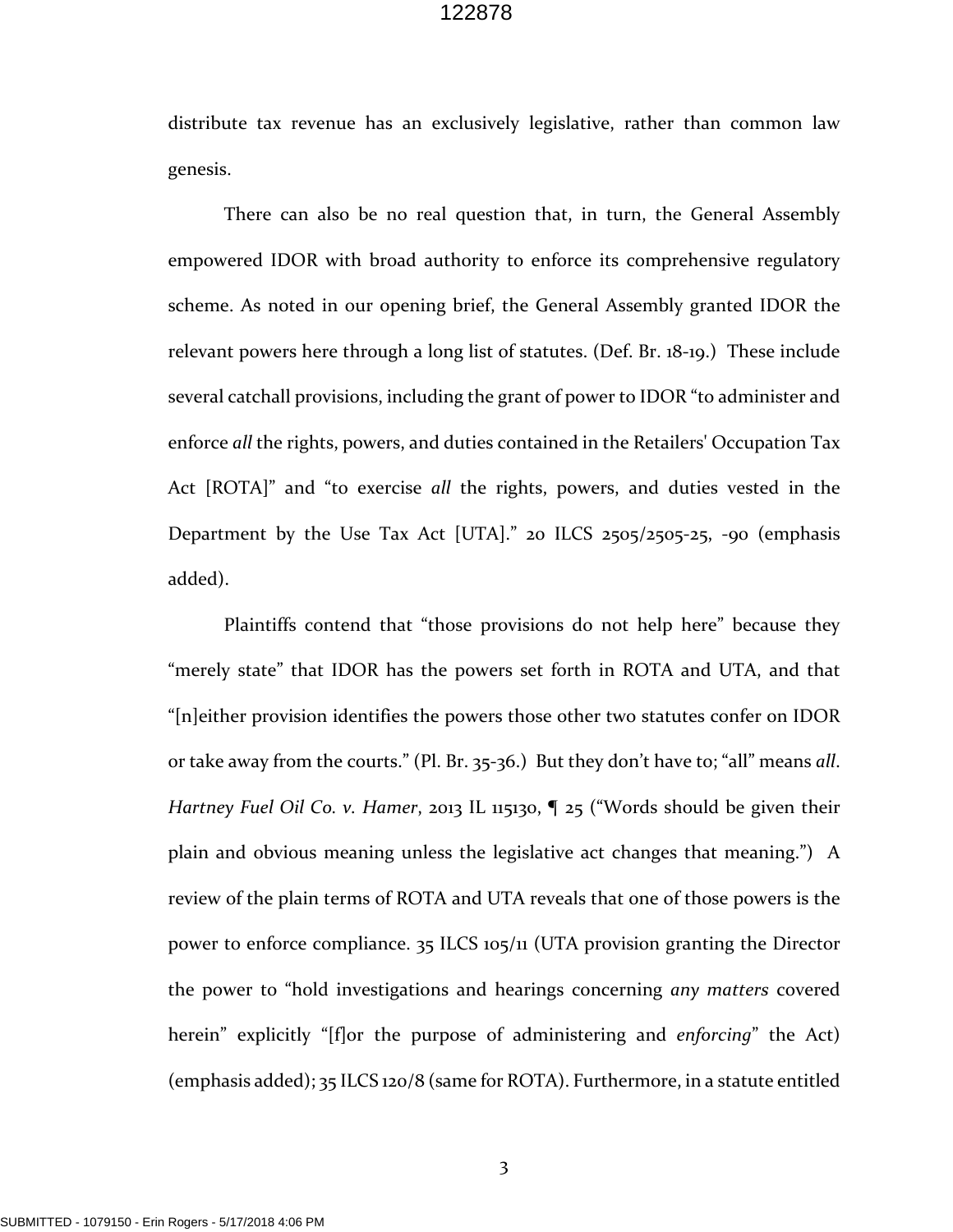distribute tax revenue has an exclusively legislative, rather than common law genesis.

There can also be no real question that, in turn, the General Assembly empowered IDOR with broad authority to enforce its comprehensive regulatory scheme. As noted in our opening brief, the General Assembly granted IDOR the relevant powers here through a long list of statutes. (Def. Br. 18‐19.) These include several catchall provisions, including the grant of power to IDOR "to administer and enforce *all* the rights, powers, and duties contained in the Retailers' Occupation Tax Act [ROTA]" and "to exercise *all* the rights, powers, and duties vested in the Department by the Use Tax Act [UTA]." 20 ILCS 2505/2505-25, -90 (emphasis added).

Plaintiffs contend that "those provisions do not help here" because they "merely state" that IDOR has the powers set forth in ROTA and UTA, and that "[n]either provision identifies the powers those other two statutes confer on IDOR or take away from the courts." (Pl. Br. 35‐36.) But they don't have to; "all" means *all*. *Hartney Fuel Oil Co. v. Hamer*, 2013 IL 115130, ¶ 25 ("Words should be given their plain and obvious meaning unless the legislative act changes that meaning.") A review of the plain terms of ROTA and UTA reveals that one of those powers is the power to enforce compliance. 35 ILCS 105/11 (UTA provision granting the Director the power to "hold investigations and hearings concerning *any matters* covered herein" explicitly "[f]or the purpose of administering and *enforcing*" the Act) (emphasis added); 35 ILCS 120/8 (same for ROTA). Furthermore, in a statute entitled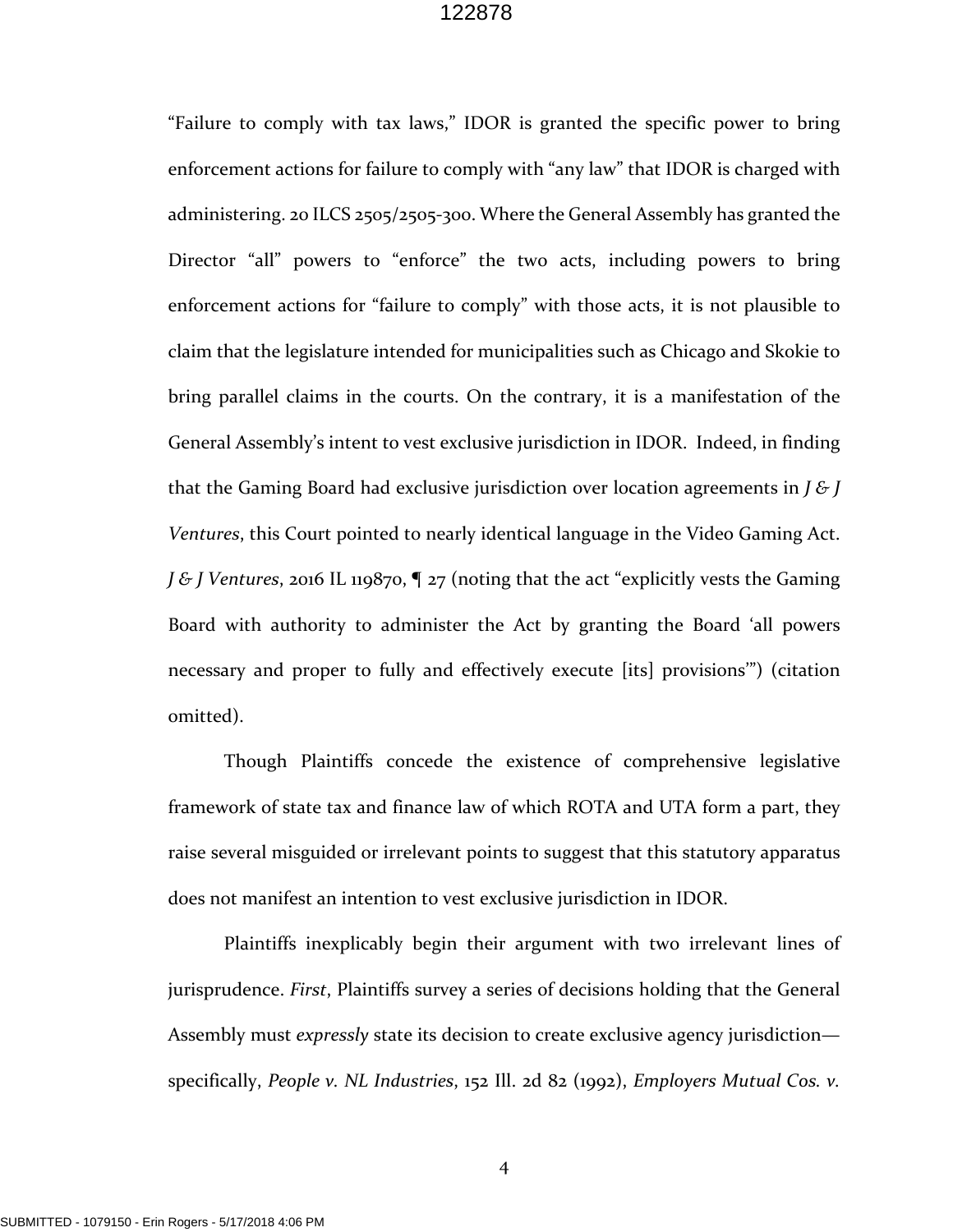"Failure to comply with tax laws," IDOR is granted the specific power to bring enforcement actions for failure to comply with "any law" that IDOR is charged with administering. 20 ILCS 2505/2505‐300. Where the General Assembly has granted the Director "all" powers to "enforce" the two acts, including powers to bring enforcement actions for "failure to comply" with those acts, it is not plausible to claim that the legislature intended for municipalities such as Chicago and Skokie to bring parallel claims in the courts. On the contrary, it is a manifestation of the General Assembly's intent to vest exclusive jurisdiction in IDOR. Indeed, in finding that the Gaming Board had exclusive jurisdiction over location agreements in *J & J Ventures*, this Court pointed to nearly identical language in the Video Gaming Act. *J & J Ventures*, 2016 IL 119870, ¶ 27 (noting that the act "explicitly vests the Gaming Board with authority to administer the Act by granting the Board 'all powers necessary and proper to fully and effectively execute [its] provisions'") (citation omitted).

Though Plaintiffs concede the existence of comprehensive legislative framework of state tax and finance law of which ROTA and UTA form a part, they raise several misguided or irrelevant points to suggest that this statutory apparatus does not manifest an intention to vest exclusive jurisdiction in IDOR.

Plaintiffs inexplicably begin their argument with two irrelevant lines of jurisprudence. *First*, Plaintiffs survey a series of decisions holding that the General Assembly must *expressly* state its decision to create exclusive agency jurisdiction specifically, *People v. NL Industries*, 152 Ill. 2d 82 (1992), *Employers Mutual Cos. v.*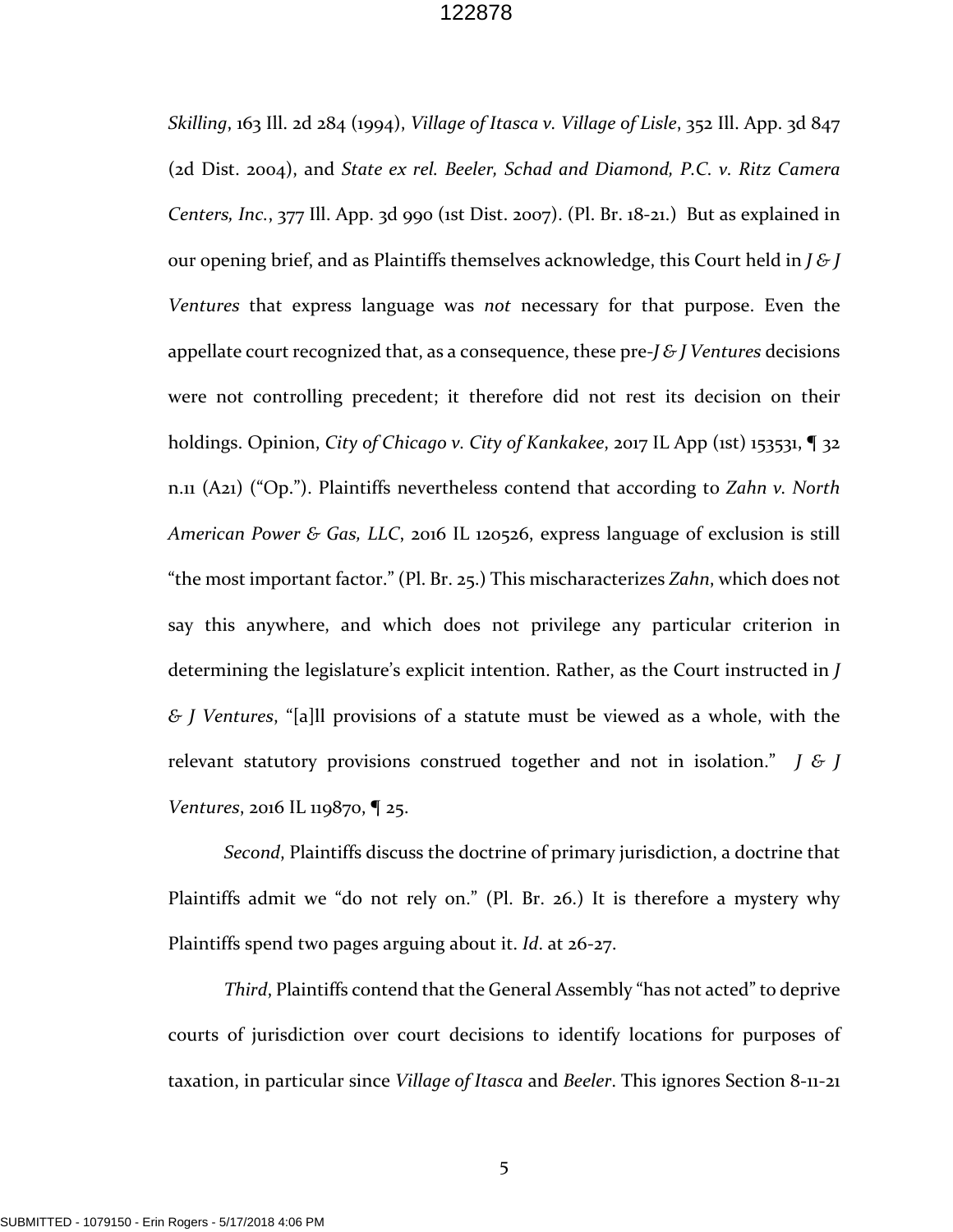*Skilling*, 163 Ill. 2d 284 (1994), *Village of Itasca v. Village of Lisle*, 352 Ill. App. 3d 847 (2d Dist. 2004), and *State ex rel. Beeler, Schad and Diamond, P.C. v. Ritz Camera Centers, Inc.*, 377 Ill. App. 3d 990 (1st Dist. 2007). (Pl. Br. 18‐21.) But as explained in our opening brief, and as Plaintiffs themselves acknowledge, this Court held in *J & J Ventures* that express language was *not* necessary for that purpose. Even the appellate court recognized that, as a consequence, these pre‐*J & J Ventures* decisions were not controlling precedent; it therefore did not rest its decision on their holdings. Opinion, *City of Chicago v. City of Kankakee*, 2017 IL App (1st) 153531, ¶ 32 n.11 (A21) ("Op."). Plaintiffs nevertheless contend that according to *Zahn v. North American Power & Gas, LLC*, 2016 IL 120526, express language of exclusion is still "the most important factor." (Pl. Br. 25.) This mischaracterizes *Zahn*, which does not say this anywhere, and which does not privilege any particular criterion in determining the legislature's explicit intention. Rather, as the Court instructed in *J & J Ventures*, "[a]ll provisions of a statute must be viewed as a whole, with the relevant statutory provisions construed together and not in isolation." *J & J Ventures*, 2016 IL 119870, ¶ 25.

*Second*, Plaintiffs discuss the doctrine of primary jurisdiction, a doctrine that Plaintiffs admit we "do not rely on." (Pl. Br. 26.) It is therefore a mystery why Plaintiffs spend two pages arguing about it. *Id*. at 26‐27.

*Third*, Plaintiffs contend that the General Assembly "has not acted" to deprive courts of jurisdiction over court decisions to identify locations for purposes of taxation, in particular since *Village of Itasca* and *Beeler*. This ignores Section 8‐11‐21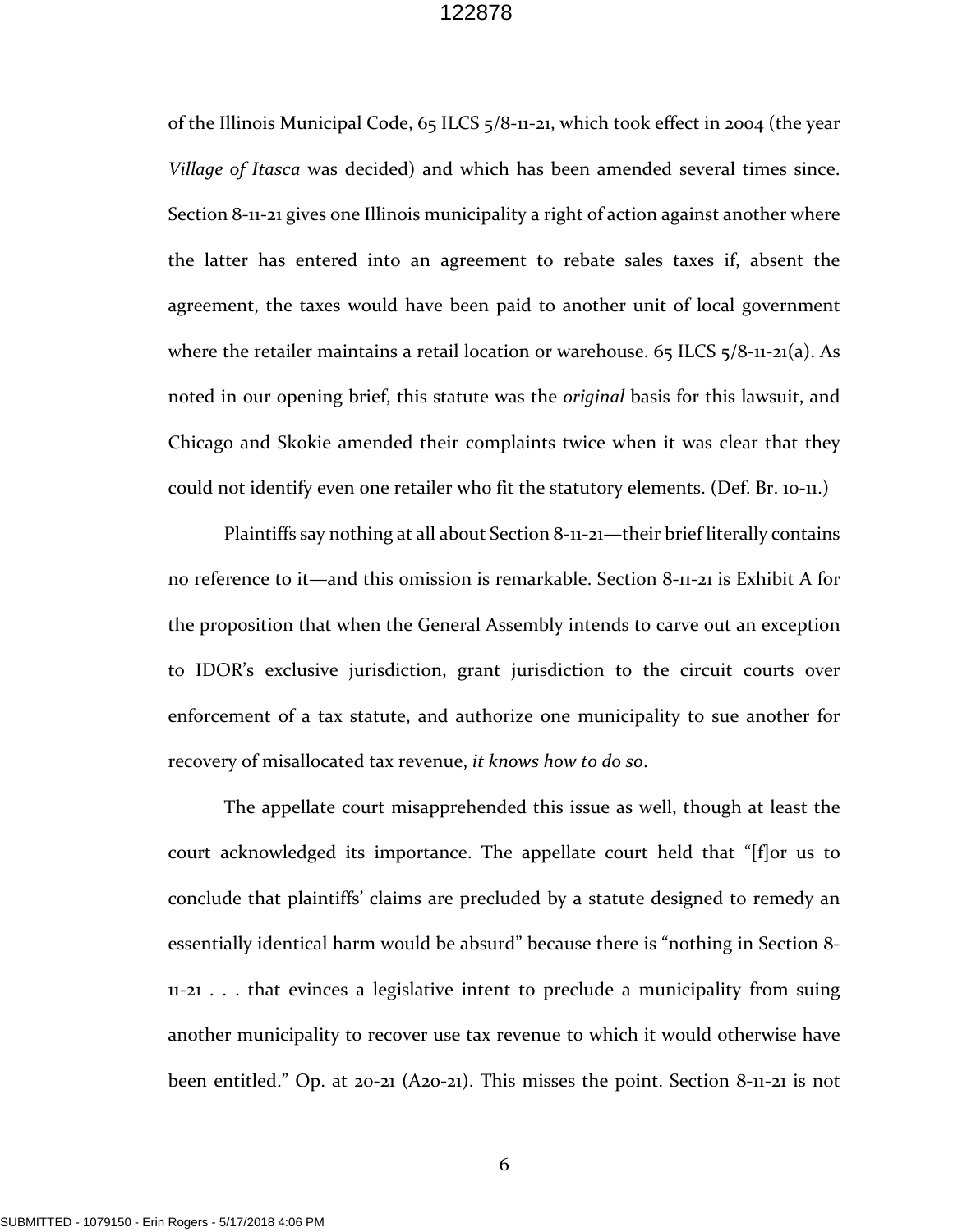of the Illinois Municipal Code, 65 ILCS 5/8‐11‐21, which took effect in 2004 (the year *Village of Itasca* was decided) and which has been amended several times since. Section 8-11-21 gives one Illinois municipality a right of action against another where the latter has entered into an agreement to rebate sales taxes if, absent the agreement, the taxes would have been paid to another unit of local government where the retailer maintains a retail location or warehouse. 65 ILCS  $5/8$ -11-21(a). As noted in our opening brief, this statute was the *original* basis for this lawsuit, and Chicago and Skokie amended their complaints twice when it was clear that they could not identify even one retailer who fit the statutory elements. (Def. Br. 10‐11.)

Plaintiffs say nothing at all about Section 8‐11‐21—their brief literally contains no reference to it—and this omission is remarkable. Section 8‐11‐21 is Exhibit A for the proposition that when the General Assembly intends to carve out an exception to IDOR's exclusive jurisdiction, grant jurisdiction to the circuit courts over enforcement of a tax statute, and authorize one municipality to sue another for recovery of misallocated tax revenue, *it knows how to do so*.

The appellate court misapprehended this issue as well, though at least the court acknowledged its importance. The appellate court held that "[f]or us to conclude that plaintiffs' claims are precluded by a statute designed to remedy an essentially identical harm would be absurd" because there is "nothing in Section 8‐ 11‐21 . . . that evinces a legislative intent to preclude a municipality from suing another municipality to recover use tax revenue to which it would otherwise have been entitled." Op. at 20-21 (A20-21). This misses the point. Section 8-11-21 is not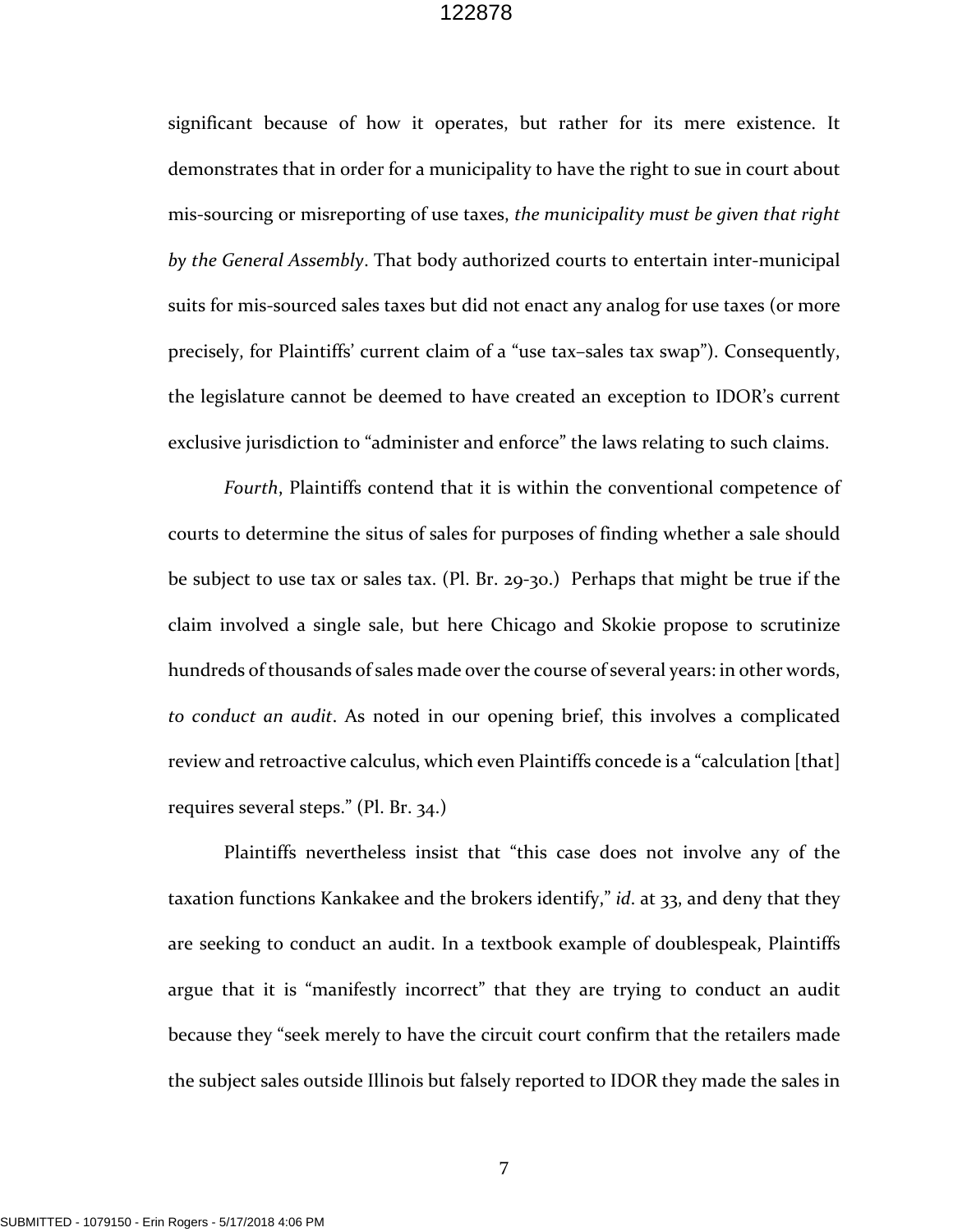significant because of how it operates, but rather for its mere existence. It demonstrates that in order for a municipality to have the right to sue in court about mis‐sourcing or misreporting of use taxes, *the municipality must be given that right by the General Assembly*. That body authorized courts to entertain inter‐municipal suits for mis‐sourced sales taxes but did not enact any analog for use taxes (or more precisely, for Plaintiffs' current claim of a "use tax–sales tax swap"). Consequently, the legislature cannot be deemed to have created an exception to IDOR's current exclusive jurisdiction to "administer and enforce" the laws relating to such claims.

*Fourth*, Plaintiffs contend that it is within the conventional competence of courts to determine the situs of sales for purposes of finding whether a sale should be subject to use tax or sales tax. (Pl. Br. 29-30.) Perhaps that might be true if the claim involved a single sale, but here Chicago and Skokie propose to scrutinize hundreds of thousands of sales made over the course of several years: in other words, *to conduct an audit*. As noted in our opening brief, this involves a complicated review and retroactive calculus, which even Plaintiffs concede is a "calculation [that] requires several steps." (Pl. Br. 34.)

Plaintiffs nevertheless insist that "this case does not involve any of the taxation functions Kankakee and the brokers identify," *id*. at 33, and deny that they are seeking to conduct an audit. In a textbook example of doublespeak, Plaintiffs argue that it is "manifestly incorrect" that they are trying to conduct an audit because they "seek merely to have the circuit court confirm that the retailers made the subject sales outside Illinois but falsely reported to IDOR they made the sales in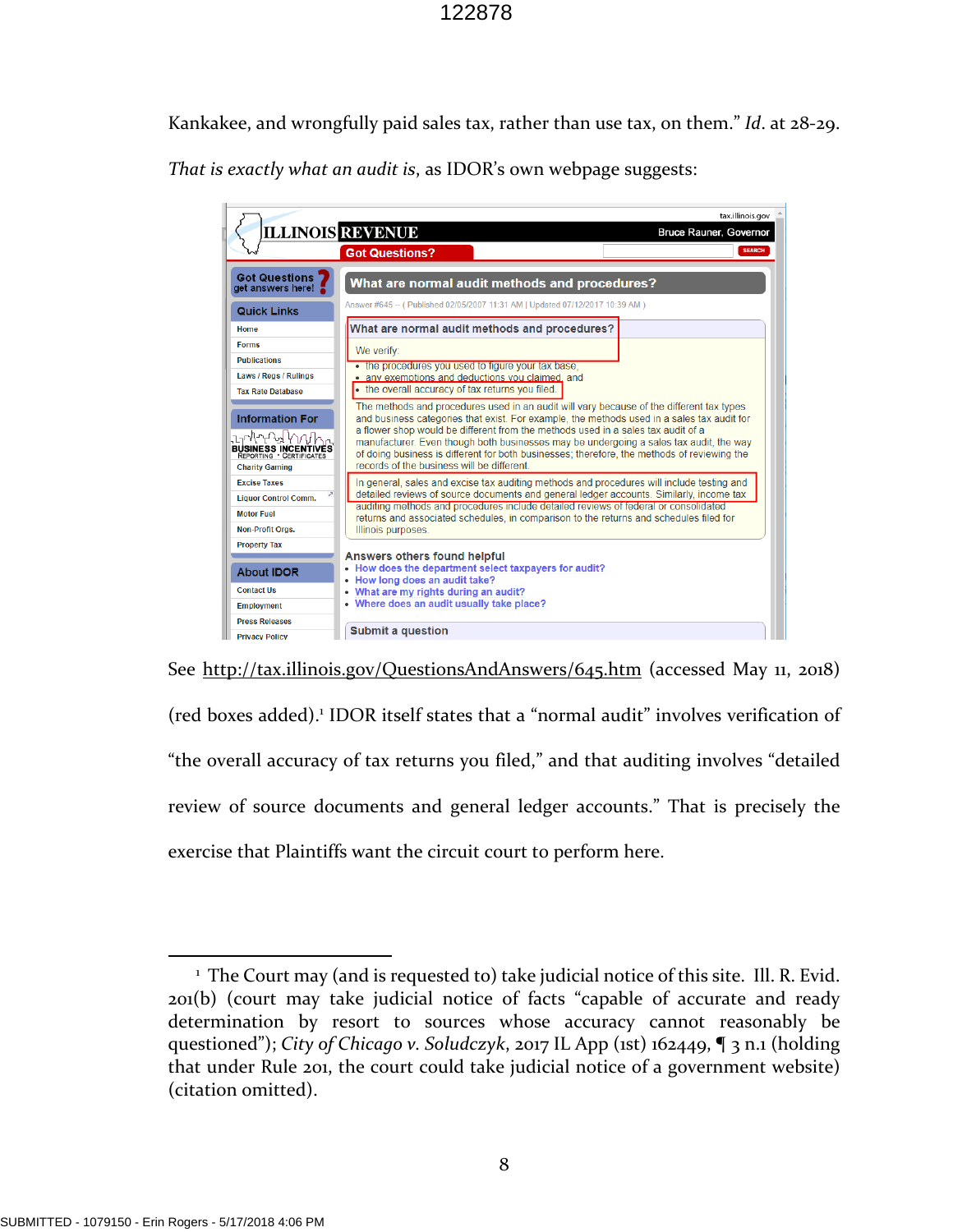Kankakee, and wrongfully paid sales tax, rather than use tax, on them." *Id*. at 28‐29. *That is exactly what an audit is*, as IDOR's own webpage suggests:





<sup>&</sup>lt;sup>1</sup> The Court may (and is requested to) take judicial notice of this site. Ill. R. Evid. 201(b) (court may take judicial notice of facts "capable of accurate and ready determination by resort to sources whose accuracy cannot reasonably be questioned"); *City of Chicago v. Soludczyk*, 2017 IL App (1st) 162449, ¶ 3 n.1 (holding that under Rule 201, the court could take judicial notice of a government website) (citation omitted).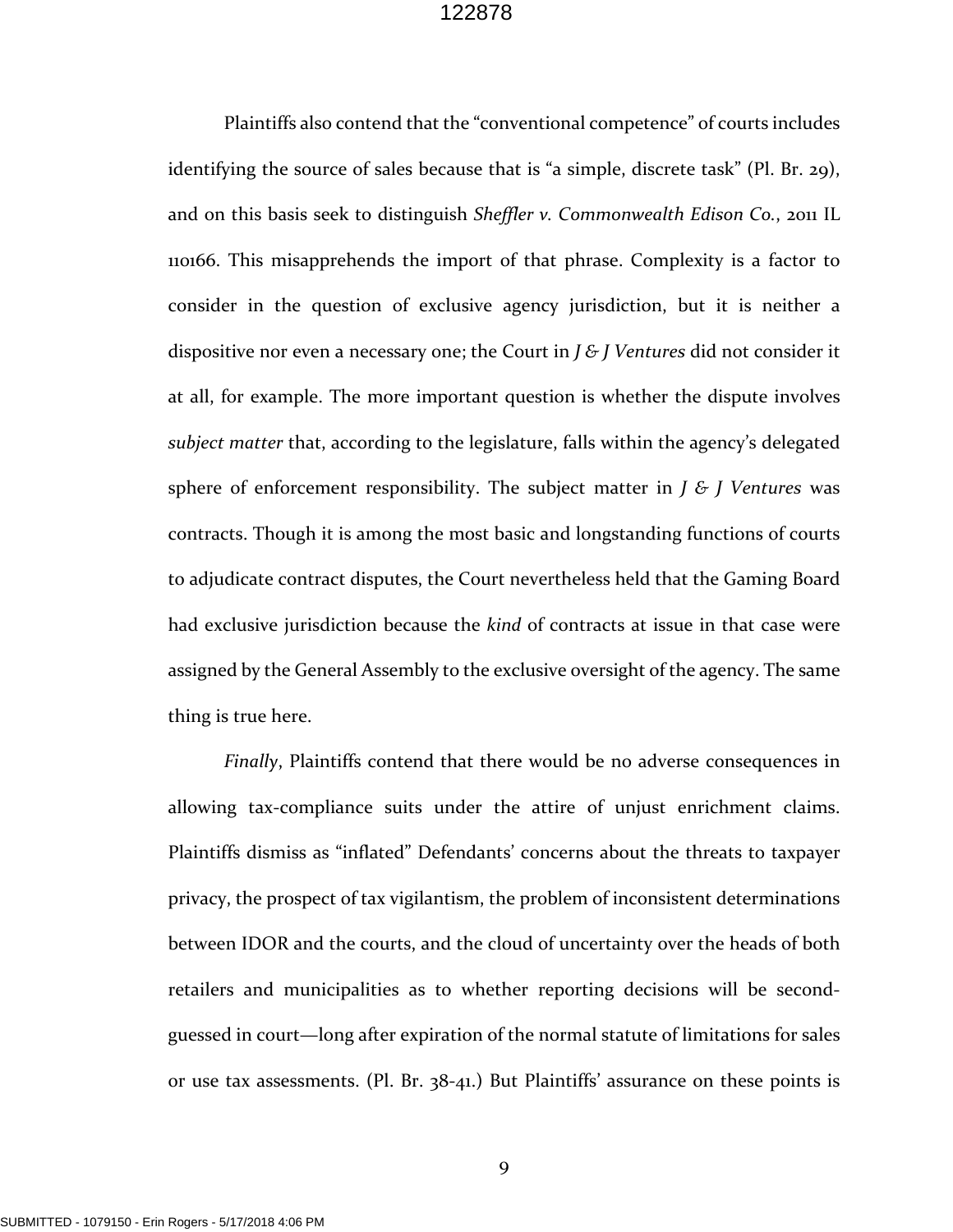Plaintiffs also contend that the "conventional competence" of courts includes identifying the source of sales because that is "a simple, discrete task" (Pl. Br. 29), and on this basis seek to distinguish *Sheffler v. Commonwealth Edison Co.*, 2011 IL 110166. This misapprehends the import of that phrase. Complexity is a factor to consider in the question of exclusive agency jurisdiction, but it is neither a dispositive nor even a necessary one; the Court in *J & J Ventures* did not consider it at all, for example. The more important question is whether the dispute involves *subject matter* that, according to the legislature, falls within the agency's delegated sphere of enforcement responsibility. The subject matter in *J & J Ventures* was contracts. Though it is among the most basic and longstanding functions of courts to adjudicate contract disputes, the Court nevertheless held that the Gaming Board had exclusive jurisdiction because the *kind* of contracts at issue in that case were assigned by the General Assembly to the exclusive oversight of the agency. The same thing is true here.

*Finally*, Plaintiffs contend that there would be no adverse consequences in allowing tax‐compliance suits under the attire of unjust enrichment claims. Plaintiffs dismiss as "inflated" Defendants' concerns about the threats to taxpayer privacy, the prospect of tax vigilantism, the problem of inconsistent determinations between IDOR and the courts, and the cloud of uncertainty over the heads of both retailers and municipalities as to whether reporting decisions will be second‐ guessed in court—long after expiration of the normal statute of limitations for sales or use tax assessments. (Pl. Br. 38‐41.) But Plaintiffs' assurance on these points is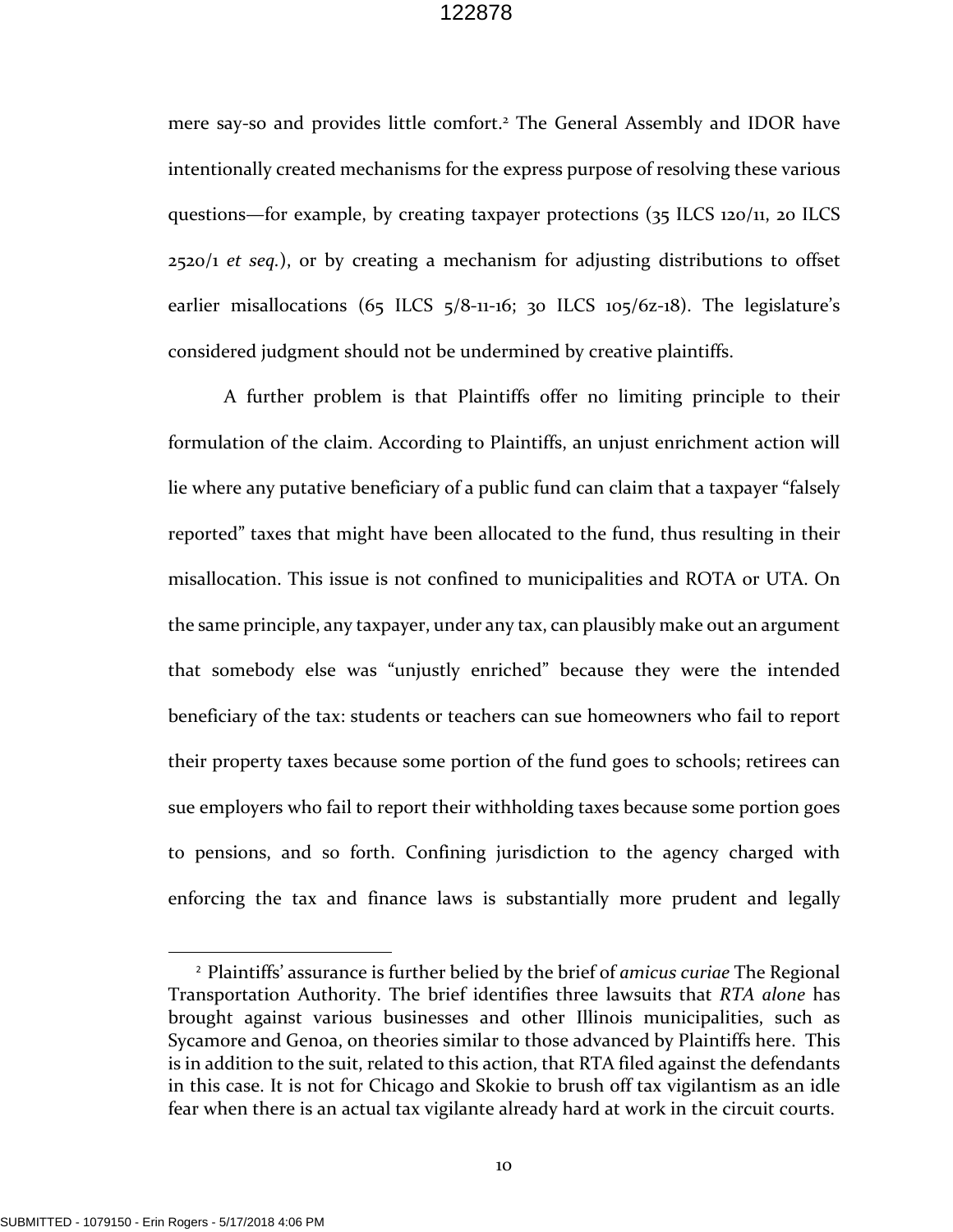mere say-so and provides little comfort.<sup>2</sup> The General Assembly and IDOR have intentionally created mechanisms for the express purpose of resolving these various questions—for example, by creating taxpayer protections (35 ILCS 120/11, 20 ILCS 2520/1 *et seq.*), or by creating a mechanism for adjusting distributions to offset earlier misallocations  $(65 \text{ ILCS } 5/8$ -11-16; 30 ILCS 105/6z-18). The legislature's considered judgment should not be undermined by creative plaintiffs.

A further problem is that Plaintiffs offer no limiting principle to their formulation of the claim. According to Plaintiffs, an unjust enrichment action will lie where any putative beneficiary of a public fund can claim that a taxpayer "falsely reported" taxes that might have been allocated to the fund, thus resulting in their misallocation. This issue is not confined to municipalities and ROTA or UTA. On the same principle, any taxpayer, under any tax, can plausibly make out an argument that somebody else was "unjustly enriched" because they were the intended beneficiary of the tax: students or teachers can sue homeowners who fail to report their property taxes because some portion of the fund goes to schools; retirees can sue employers who fail to report their withholding taxes because some portion goes to pensions, and so forth. Confining jurisdiction to the agency charged with enforcing the tax and finance laws is substantially more prudent and legally

<sup>2</sup> Plaintiffs' assurance is further belied by the brief of *amicus curiae* The Regional Transportation Authority. The brief identifies three lawsuits that *RTA alone* has brought against various businesses and other Illinois municipalities, such as Sycamore and Genoa, on theories similar to those advanced by Plaintiffs here. This is in addition to the suit, related to this action, that RTA filed against the defendants in this case. It is not for Chicago and Skokie to brush off tax vigilantism as an idle fear when there is an actual tax vigilante already hard at work in the circuit courts.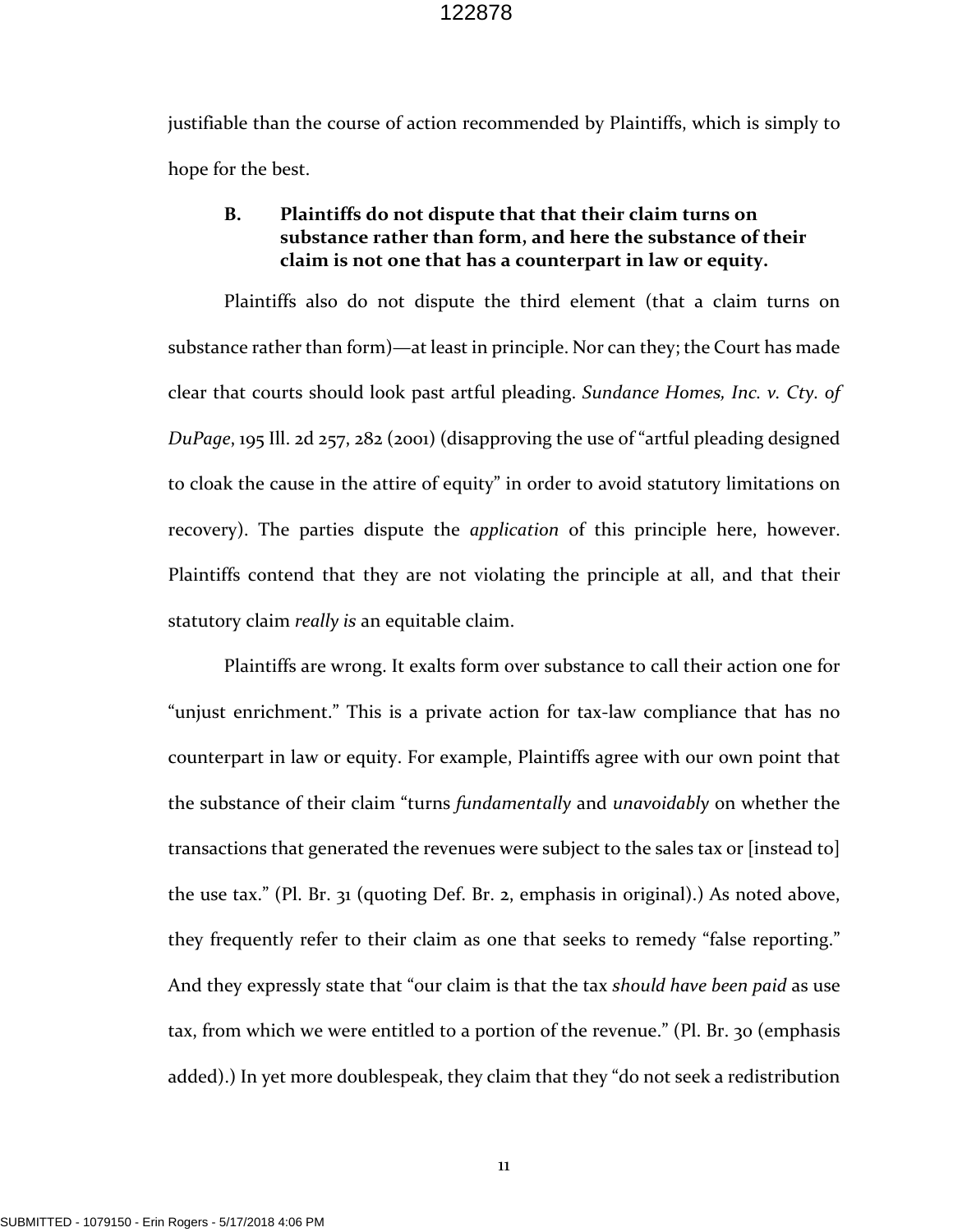justifiable than the course of action recommended by Plaintiffs, which is simply to hope for the best.

## **B. Plaintiffs do not dispute that that their claim turns on substance rather than form, and here the substance of their claim is not one that has a counterpart in law or equity.**

Plaintiffs also do not dispute the third element (that a claim turns on substance rather than form)—at least in principle. Nor can they; the Court has made clear that courts should look past artful pleading. *Sundance Homes, Inc. v. Cty. of DuPage*, 195 Ill. 2d 257, 282 (2001) (disapproving the use of "artful pleading designed to cloak the cause in the attire of equity" in order to avoid statutory limitations on recovery). The parties dispute the *application* of this principle here, however. Plaintiffs contend that they are not violating the principle at all, and that their statutory claim *really is* an equitable claim.

Plaintiffs are wrong. It exalts form over substance to call their action one for "unjust enrichment." This is a private action for tax‐law compliance that has no counterpart in law or equity. For example, Plaintiffs agree with our own point that the substance of their claim "turns *fundamentally* and *unavoidably* on whether the transactions that generated the revenues were subject to the sales tax or [instead to] the use tax." (Pl. Br. 31 (quoting Def. Br. 2, emphasis in original).) As noted above, they frequently refer to their claim as one that seeks to remedy "false reporting." And they expressly state that "our claim is that the tax *should have been paid* as use tax, from which we were entitled to a portion of the revenue." (Pl. Br. 30 (emphasis added).) In yet more doublespeak, they claim that they "do not seek a redistribution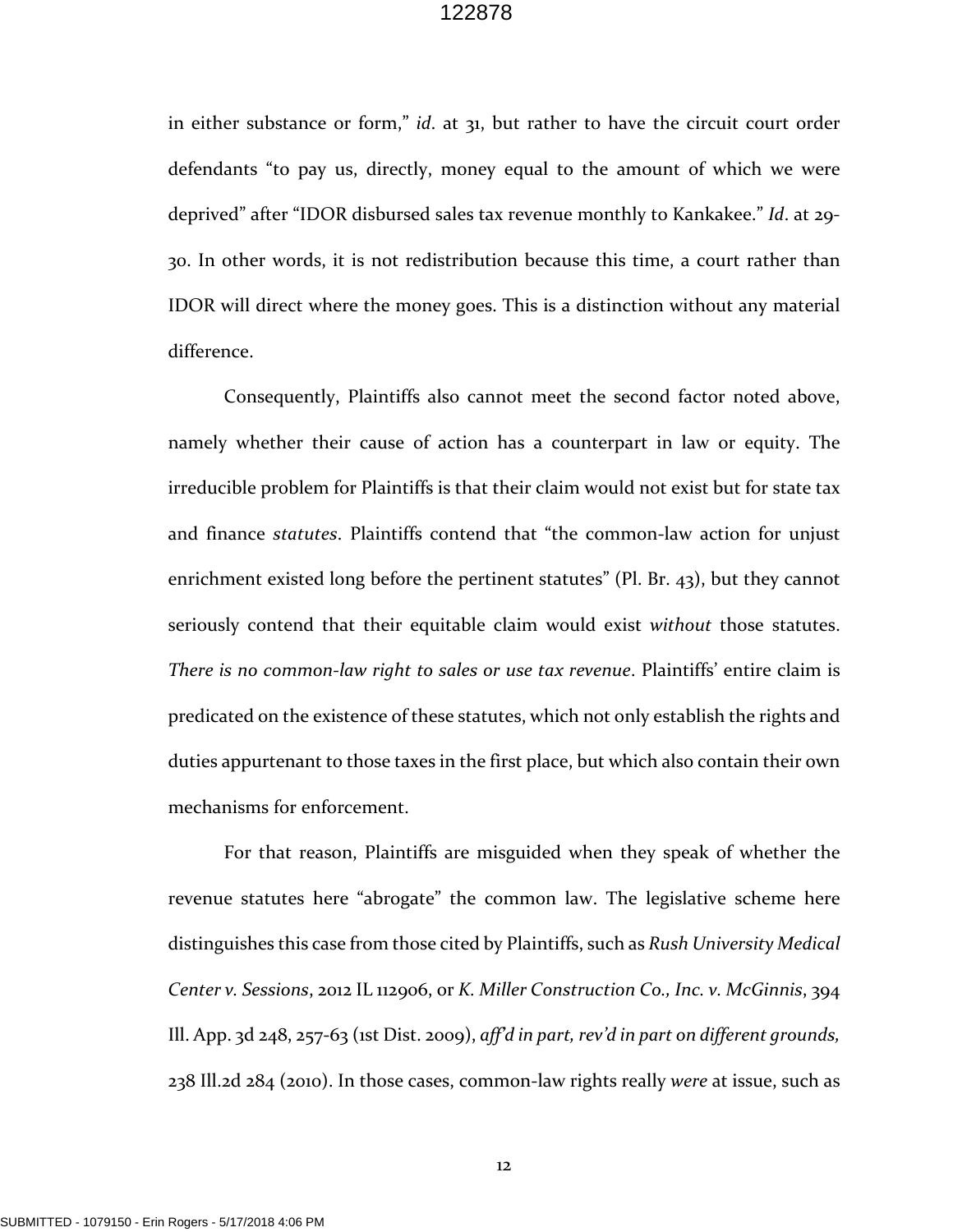in either substance or form," *id*. at 31, but rather to have the circuit court order defendants "to pay us, directly, money equal to the amount of which we were deprived" after "IDOR disbursed sales tax revenue monthly to Kankakee." *Id*. at 29‐ 30. In other words, it is not redistribution because this time, a court rather than IDOR will direct where the money goes. This is a distinction without any material difference.

Consequently, Plaintiffs also cannot meet the second factor noted above, namely whether their cause of action has a counterpart in law or equity. The irreducible problem for Plaintiffs is that their claim would not exist but for state tax and finance *statutes*. Plaintiffs contend that "the common‐law action for unjust enrichment existed long before the pertinent statutes" (Pl. Br. 43), but they cannot seriously contend that their equitable claim would exist *without* those statutes. *There is no common‐law right to sales or use tax revenue*. Plaintiffs' entire claim is predicated on the existence of these statutes, which not only establish the rights and duties appurtenant to those taxes in the first place, but which also contain their own mechanisms for enforcement.

For that reason, Plaintiffs are misguided when they speak of whether the revenue statutes here "abrogate" the common law. The legislative scheme here distinguishes this case from those cited by Plaintiffs, such as *Rush University Medical Center v. Sessions*, 2012 IL 112906, or *K. Miller Construction Co., Inc. v. McGinnis*, 394 Ill. App. 3d 248, 257‐63 (1st Dist. 2009), *aff'd in part, rev'd in part on different grounds,* 238 Ill.2d 284 (2010). In those cases, common‐law rights really *were* at issue, such as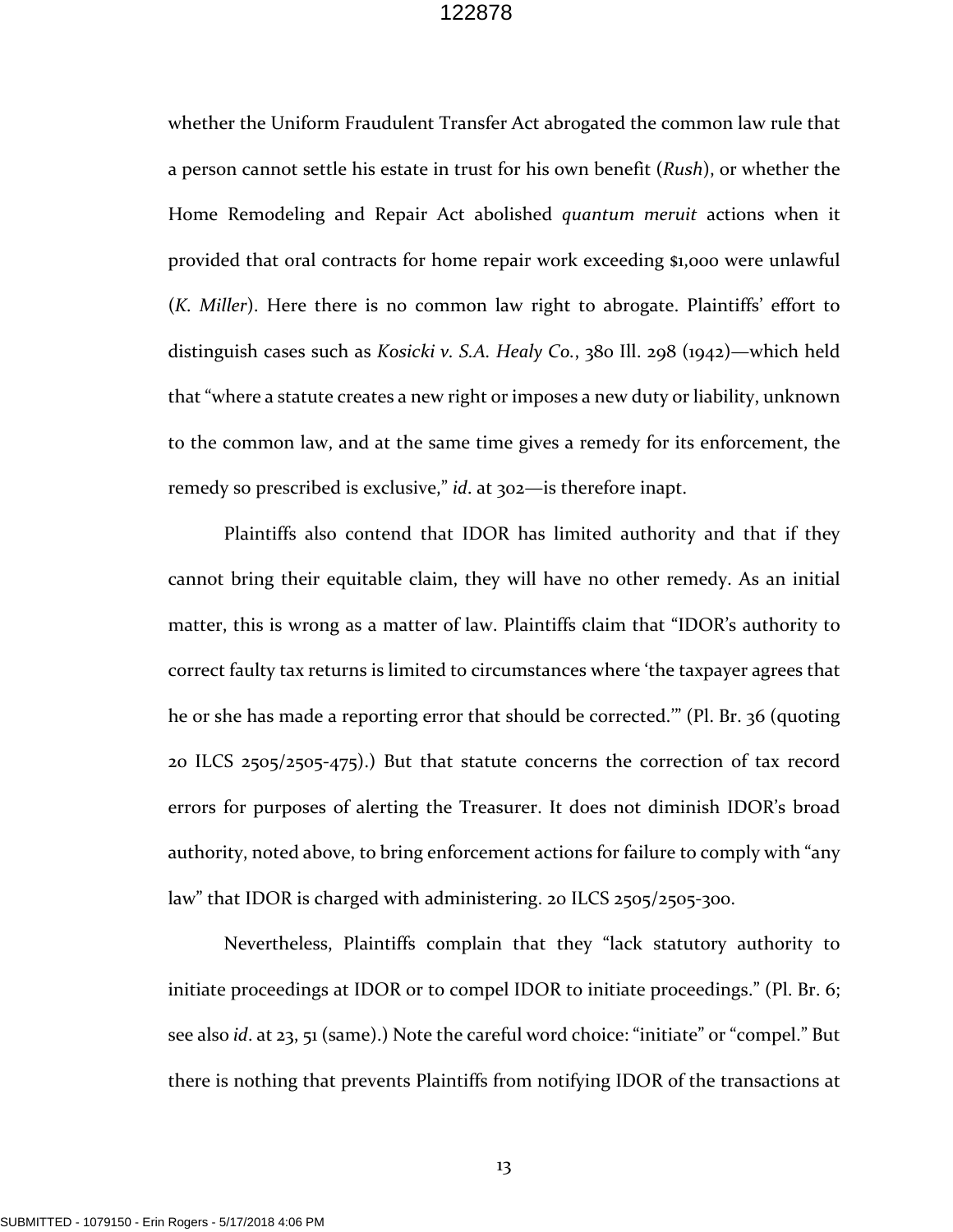whether the Uniform Fraudulent Transfer Act abrogated the common law rule that a person cannot settle his estate in trust for his own benefit (*Rush*), or whether the Home Remodeling and Repair Act abolished *quantum meruit* actions when it provided that oral contracts for home repair work exceeding \$1,000 were unlawful (*K. Miller*). Here there is no common law right to abrogate. Plaintiffs' effort to distinguish cases such as *Kosicki v. S.A. Healy Co.*, 380 Ill. 298 (1942)—which held that "where a statute creates a new right or imposes a new duty or liability, unknown to the common law, and at the same time gives a remedy for its enforcement, the remedy so prescribed is exclusive," *id*. at 302—is therefore inapt.

Plaintiffs also contend that IDOR has limited authority and that if they cannot bring their equitable claim, they will have no other remedy. As an initial matter, this is wrong as a matter of law. Plaintiffs claim that "IDOR's authority to correct faulty tax returns is limited to circumstances where 'the taxpayer agrees that he or she has made a reporting error that should be corrected.'" (Pl. Br. 36 (quoting 20 ILCS 2505/2505‐475).) But that statute concerns the correction of tax record errors for purposes of alerting the Treasurer. It does not diminish IDOR's broad authority, noted above, to bring enforcement actions for failure to comply with "any law" that IDOR is charged with administering. 20 ILCS 2505/2505-300.

Nevertheless, Plaintiffs complain that they "lack statutory authority to initiate proceedings at IDOR or to compel IDOR to initiate proceedings." (Pl. Br. 6; see also *id*. at 23, 51 (same).) Note the careful word choice: "initiate" or "compel." But there is nothing that prevents Plaintiffs from notifying IDOR of the transactions at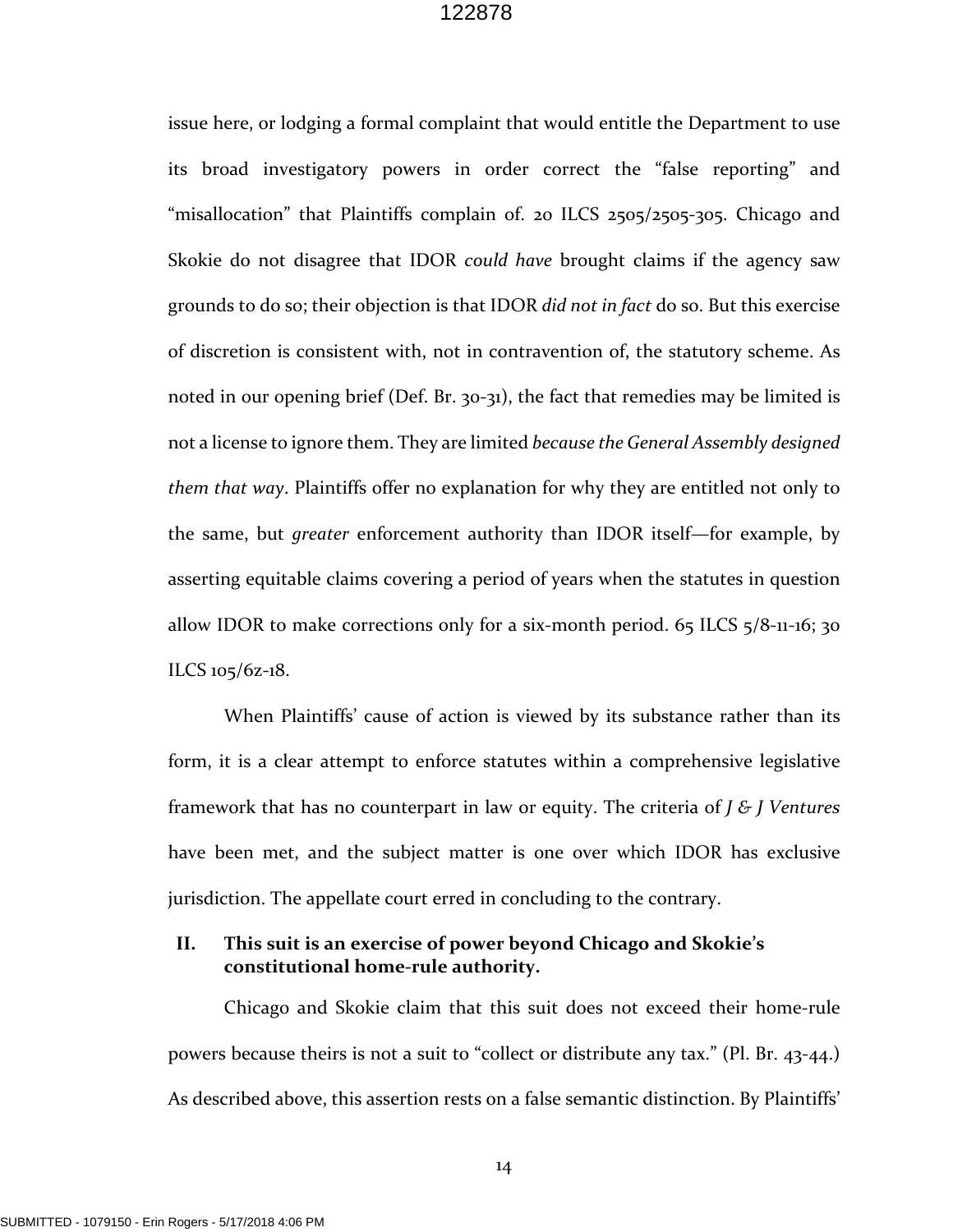issue here, or lodging a formal complaint that would entitle the Department to use its broad investigatory powers in order correct the "false reporting" and "misallocation" that Plaintiffs complain of. 20 ILCS 2505/2505-305. Chicago and Skokie do not disagree that IDOR *could have* brought claims if the agency saw grounds to do so; their objection is that IDOR *did not in fact* do so. But this exercise of discretion is consistent with, not in contravention of, the statutory scheme. As noted in our opening brief (Def. Br. 30-31), the fact that remedies may be limited is not a license to ignore them. They are limited *because the General Assembly designed them that way*. Plaintiffs offer no explanation for why they are entitled not only to the same, but *greater* enforcement authority than IDOR itself—for example, by asserting equitable claims covering a period of years when the statutes in question allow IDOR to make corrections only for a six‐month period. 65 ILCS 5/8‐11‐16; 30 ILCS 105/6z‐18.

When Plaintiffs' cause of action is viewed by its substance rather than its form, it is a clear attempt to enforce statutes within a comprehensive legislative framework that has no counterpart in law or equity. The criteria of *J & J Ventures* have been met, and the subject matter is one over which IDOR has exclusive jurisdiction. The appellate court erred in concluding to the contrary.

## **II. This suit is an exercise of power beyond Chicago and Skokie's constitutional home‐rule authority.**

Chicago and Skokie claim that this suit does not exceed their home‐rule powers because theirs is not a suit to "collect or distribute any tax." (Pl. Br. 43‐44.) As described above, this assertion rests on a false semantic distinction. By Plaintiffs'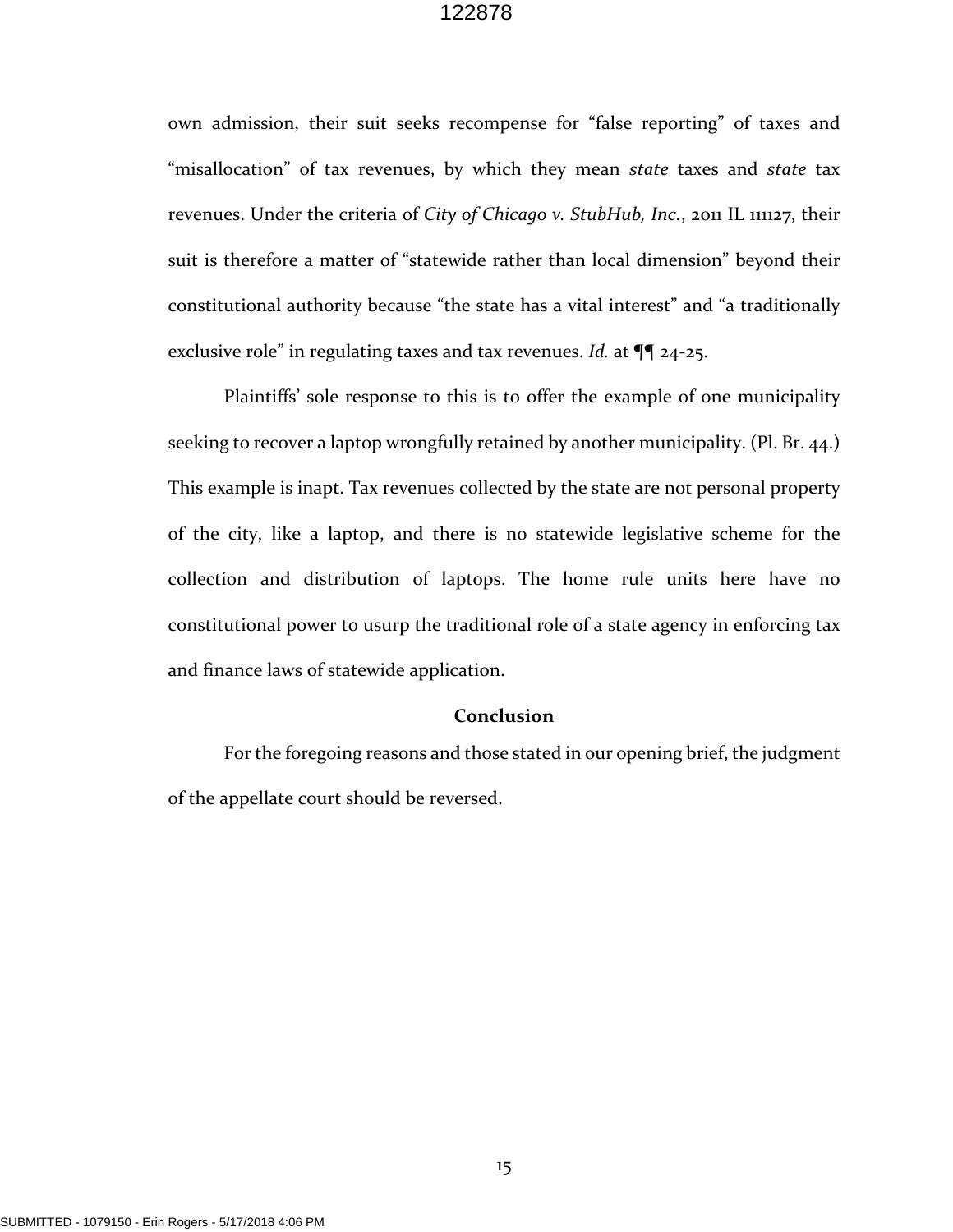own admission, their suit seeks recompense for "false reporting" of taxes and "misallocation" of tax revenues, by which they mean *state* taxes and *state* tax revenues. Under the criteria of *City of Chicago v. StubHub, Inc.*, 2011 IL 111127, their suit is therefore a matter of "statewide rather than local dimension" beyond their constitutional authority because "the state has a vital interest" and "a traditionally exclusive role" in regulating taxes and tax revenues. *Id.* at ¶¶ 24‐25.

Plaintiffs' sole response to this is to offer the example of one municipality seeking to recover a laptop wrongfully retained by another municipality. (Pl. Br. 44.) This example is inapt. Tax revenues collected by the state are not personal property of the city, like a laptop, and there is no statewide legislative scheme for the collection and distribution of laptops. The home rule units here have no constitutional power to usurp the traditional role of a state agency in enforcing tax and finance laws of statewide application.

#### **Conclusion**

For the foregoing reasons and those stated in our opening brief, the judgment of the appellate court should be reversed.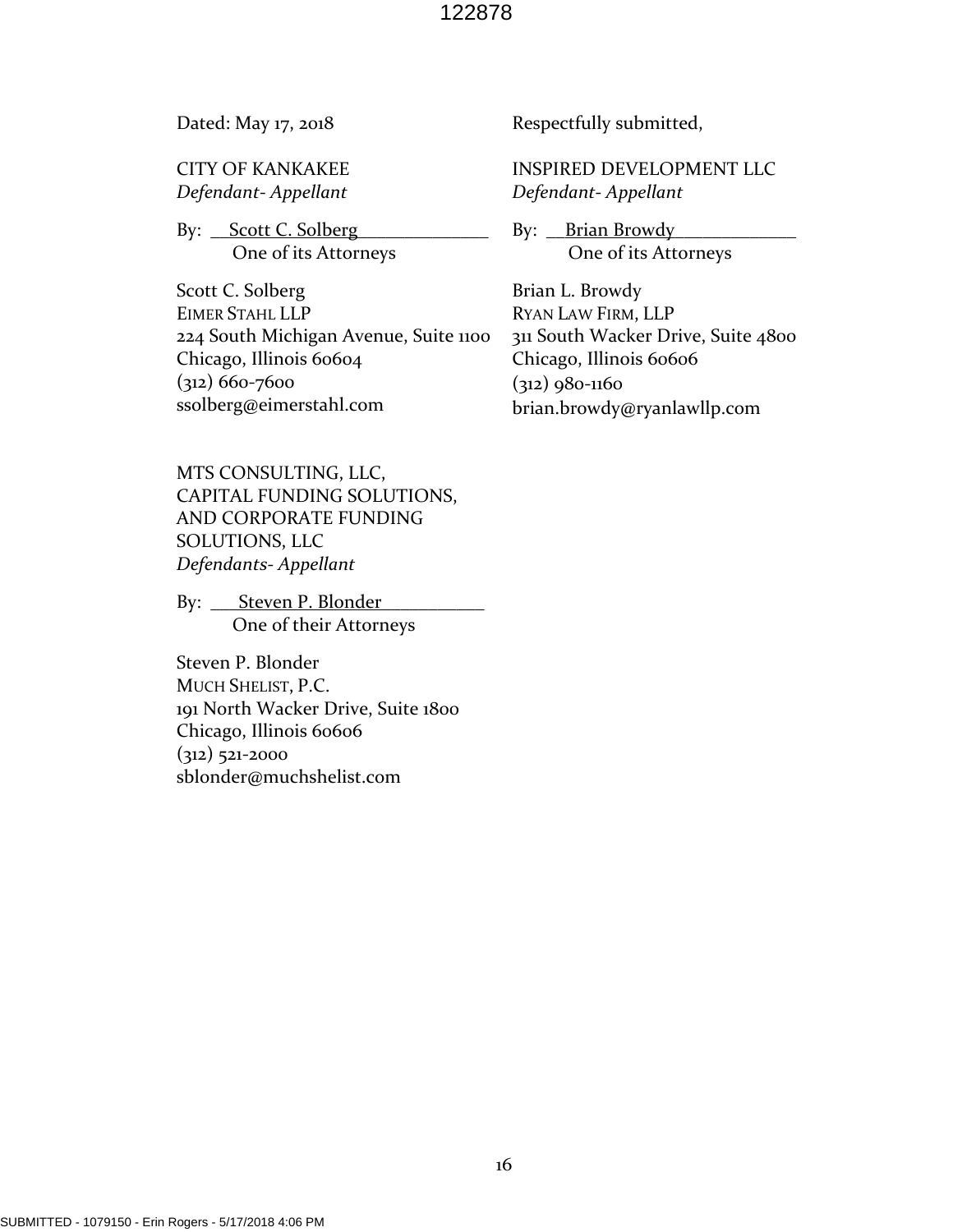Dated: May 17, 2018

CITY OF KANKAKEE *Defendant‐ Appellant*

By: Scott C. Solberg One of its Attorneys

Scott C. Solberg EIMER STAHL LLP 224 South Michigan Avenue, Suite 1100 Chicago, Illinois 60604 (312) 660‐7600 ssolberg@eimerstahl.com

MTS CONSULTING, LLC, CAPITAL FUNDING SOLUTIONS, AND CORPORATE FUNDING SOLUTIONS, LLC *Defendants‐ Appellant*

By: Steven P. Blonder One of their Attorneys

Steven P. Blonder MUCH SHELIST, P.C. 191 North Wacker Drive, Suite 1800 Chicago, Illinois 60606  $(312)$  521-2000 sblonder@muchshelist.com

Respectfully submitted,

INSPIRED DEVELOPMENT LLC *Defendant‐ Appellant*

By: <u>Brian Browdy</u> One of its Attorneys

Brian L. Browdy RYAN LAW FIRM, LLP 311 South Wacker Drive, Suite 4800 Chicago, Illinois 60606 (312) 980‐1160 brian.browdy@ryanlawllp.com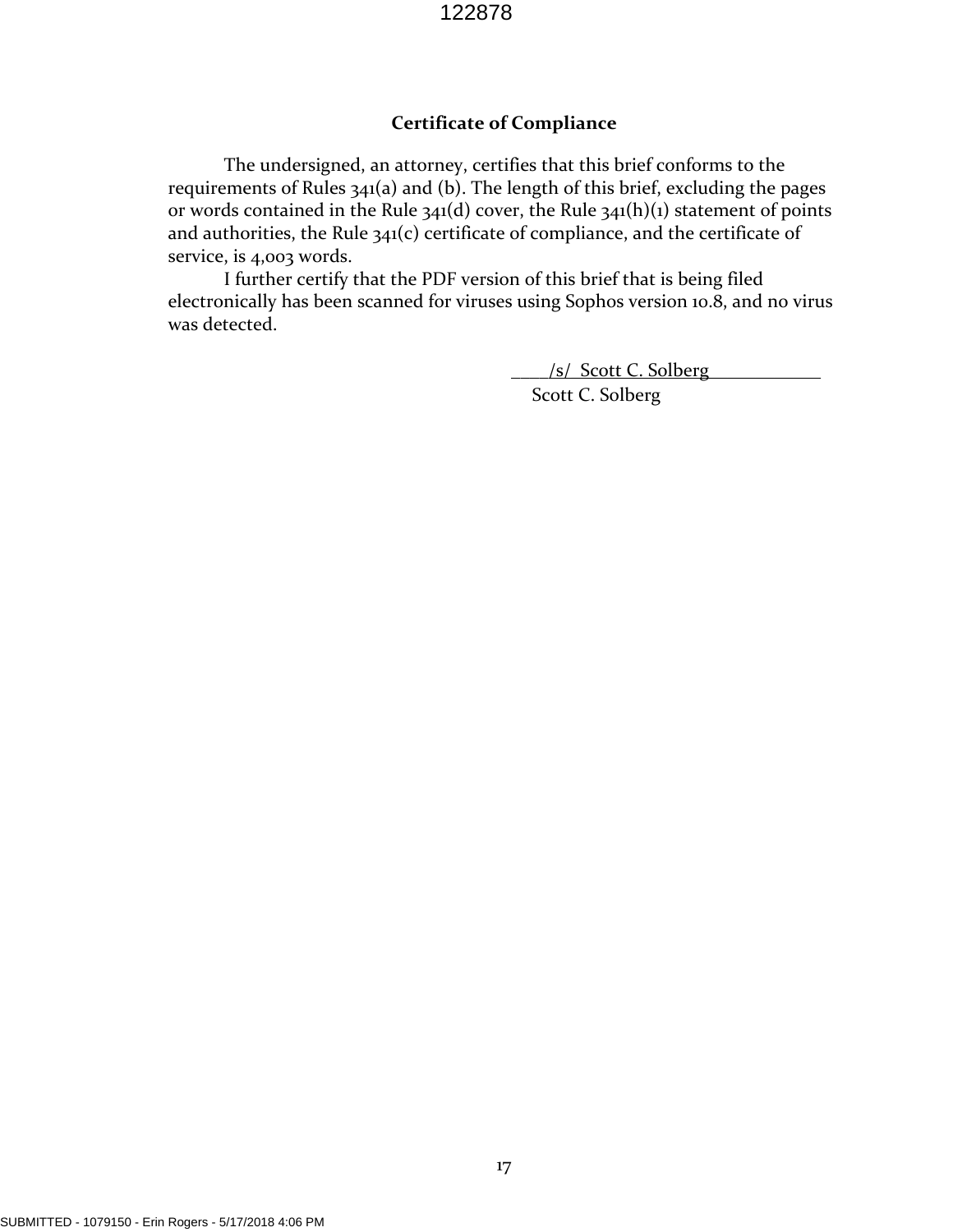## **Certificate of Compliance**

The undersigned, an attorney, certifies that this brief conforms to the requirements of Rules 341(a) and (b). The length of this brief, excluding the pages or words contained in the Rule  $341(d)$  cover, the Rule  $341(h)(1)$  statement of points and authorities, the Rule 341(c) certificate of compliance, and the certificate of service, is 4,003 words.

I further certify that the PDF version of this brief that is being filed electronically has been scanned for viruses using Sophos version 10.8, and no virus was detected.

 $\frac{|s|}{\sqrt{|s|}}$  Scott C. Solberg

Scott C. Solberg